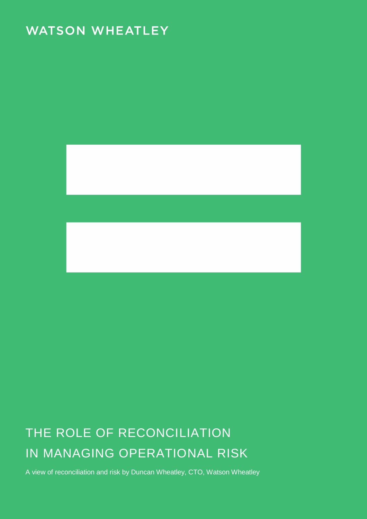## **WATSON WHEATLEY**



# THE ROLE OF RECONCILIATION IN MANAGING OPERATIONAL RISK

A view of reconciliation and risk by Duncan Wheatley, CTO, Watson Wheatley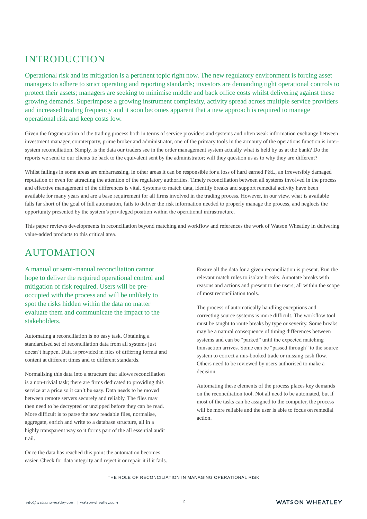### INTRODUCTION

Operational risk and its mitigation is a pertinent topic right now. The new regulatory environment is forcing asset managers to adhere to strict operating and reporting standards; investors are demanding tight operational controls to protect their assets; managers are seeking to minimise middle and back office costs whilst delivering against these growing demands. Superimpose a growing instrument complexity, activity spread across multiple service providers and increased trading frequency and it soon becomes apparent that a new approach is required to manage operational risk and keep costs low.

Given the fragmentation of the trading process both in terms of service providers and systems and often weak information exchange between investment manager, counterparty, prime broker and administrator, one of the primary tools in the armoury of the operations function is intersystem reconciliation. Simply, is the data our traders see in the order management system actually what is held by us at the bank? Do the reports we send to our clients tie back to the equivalent sent by the administrator; will they question us as to why they are different?

Whilst failings in some areas are embarrassing, in other areas it can be responsible for a loss of hard earned P&L, an irreversibly damaged reputation or even for attracting the attention of the regulatory authorities. Timely reconciliation between all systems involved in the process and effective management of the differences is vital. Systems to match data, identify breaks and support remedial activity have been available for many years and are a base requirement for all firms involved in the trading process. However, in our view, what is available falls far short of the goal of full automation, fails to deliver the risk information needed to properly manage the process, and neglects the opportunity presented by the system's privileged position within the operational infrastructure.

This paper reviews developments in reconciliation beyond matching and workflow and references the work of Watson Wheatley in delivering value-added products to this critical area.

### AUTOMATION

A manual or semi-manual reconciliation cannot hope to deliver the required operational control and mitigation of risk required. Users will be preoccupied with the process and will be unlikely to spot the risks hidden within the data no matter evaluate them and communicate the impact to the stakeholders.

Automating a reconciliation is no easy task. Obtaining a standardised set of reconciliation data from all systems just doesn't happen. Data is provided in files of differing format and content at different times and to different standards.

Normalising this data into a structure that allows reconciliation is a non-trivial task; there are firms dedicated to providing this service at a price so it can't be easy. Data needs to be moved between remote servers securely and reliably. The files may then need to be decrypted or unzipped before they can be read. More difficult is to parse the now readable files, normalise, aggregate, enrich and write to a database structure, all in a highly transparent way so it forms part of the all essential audit trail.

Once the data has reached this point the automation becomes easier. Check for data integrity and reject it or repair it if it fails. Ensure all the data for a given reconciliation is present. Run the relevant match rules to isolate breaks. Annotate breaks with reasons and actions and present to the users; all within the scope of most reconciliation tools.

The process of automatically handling exceptions and correcting source systems is more difficult. The workflow tool must be taught to route breaks by type or severity. Some breaks may be a natural consequence of timing differences between systems and can be "parked" until the expected matching transaction arrives. Some can be "passed through" to the source system to correct a mis-booked trade or missing cash flow. Others need to be reviewed by users authorised to make a decision.

Automating these elements of the process places key demands on the reconciliation tool. Not all need to be automated, but if most of the tasks can be assigned to the computer, the process will be more reliable and the user is able to focus on remedial action.

#### THE ROLE OF RECONCILIATION IN MANAGING OPERATIONAL RISK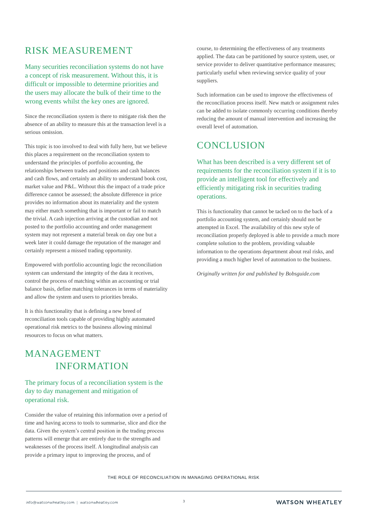### RISK MEASUREMENT

Many securities reconciliation systems do not have a concept of risk measurement. Without this, it is difficult or impossible to determine priorities and the users may allocate the bulk of their time to the wrong events whilst the key ones are ignored.

Since the reconciliation system is there to mitigate risk then the absence of an ability to measure this at the transaction level is a serious omission.

This topic is too involved to deal with fully here, but we believe this places a requirement on the reconciliation system to understand the principles of portfolio accounting, the relationships between trades and positions and cash balances and cash flows, and certainly an ability to understand book cost, market value and P&L. Without this the impact of a trade price difference cannot be assessed; the absolute difference in price provides no information about its materiality and the system may either match something that is important or fail to match the trivial. A cash injection arriving at the custodian and not posted to the portfolio accounting and order management system may not represent a material break on day one but a week later it could damage the reputation of the manager and certainly represent a missed trading opportunity.

Empowered with portfolio accounting logic the reconciliation system can understand the integrity of the data it receives, control the process of matching within an accounting or trial balance basis, define matching tolerances in terms of materiality and allow the system and users to priorities breaks.

It is this functionality that is defining a new breed of reconciliation tools capable of providing highly automated operational risk metrics to the business allowing minimal resources to focus on what matters.

### MANAGEMENT INFORMATION

#### The primary focus of a reconciliation system is the day to day management and mitigation of operational risk.

Consider the value of retaining this information over a period of time and having access to tools to summarise, slice and dice the data. Given the system's central position in the trading process patterns will emerge that are entirely due to the strengths and weaknesses of the process itself. A longitudinal analysis can provide a primary input to improving the process, and of

course, to determining the effectiveness of any treatments applied. The data can be partitioned by source system, user, or service provider to deliver quantitative performance measures; particularly useful when reviewing service quality of your suppliers.

Such information can be used to improve the effectiveness of the reconciliation process itself. New match or assignment rules can be added to isolate commonly occurring conditions thereby reducing the amount of manual intervention and increasing the overall level of automation.

### **CONCLUSION**

What has been described is a very different set of requirements for the reconciliation system if it is to provide an intelligent tool for effectively and efficiently mitigating risk in securities trading operations.

This is functionality that cannot be tacked on to the back of a portfolio accounting system, and certainly should not be attempted in Excel. The availability of this new style of reconciliation properly deployed is able to provide a much more complete solution to the problem, providing valuable information to the operations department about real risks, and providing a much higher level of automation to the business.

*Originally written for and published by Bobsguide.com*

THE ROLE OF RECONCILIATION IN MANAGING OPERATIONAL RISK